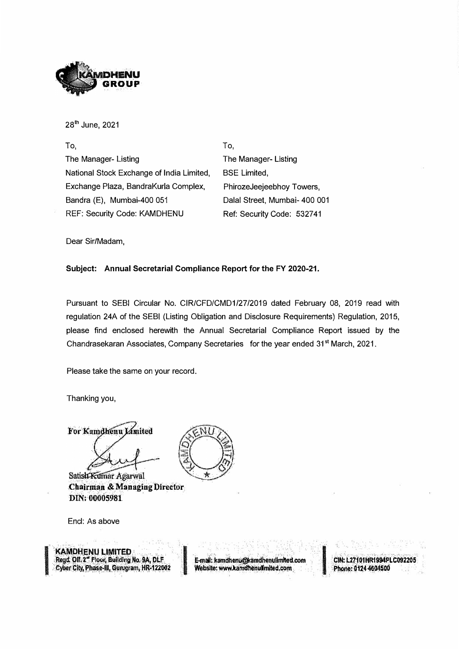

28 th June, 2021

To, The Manager- Listing National Stock Exchange of India Limited, Exchange Plaza, SandraKurla Complex, Sandra (E), Mumbai-400 051 REF: Security Code: KAMDHENU

To, The Manager- Listing **BSE Limited,** PhirozeJeejeebhoy Towers, Dalal Street, Mumbai- 400 001 Ref: Security Code: 532741

Dear Sir/Madam,

#### **Subject: Annual Secretarial Compliance Report for the FY 2020-21.**

Pursuant to SESI Circular No. CIR/CFD/CMD1/27/2019 dated February 08, 2019 read with regulation 24A of the SESI (Listing Obligation and Disclosure Requirements) Regulation, 2015, please find enclosed herewith the Annual Secretarial Compliance Report issued by the Chandrasekaran Associates, Company Secretaries for the year ended 31 **st** March, 2021.

Please take the same on your record.

Thanking you,

For Kamdhenu Limited

Satish Kumar Agarwal **Chairman & Managing Director DIN: 00005981** 

Encl: As above

**KAMDHENU LIMITED** Regd. Off. 2" Floor, Building No. 9A, DLF Cyber City, Phase-III, Gurugram, HR-122002

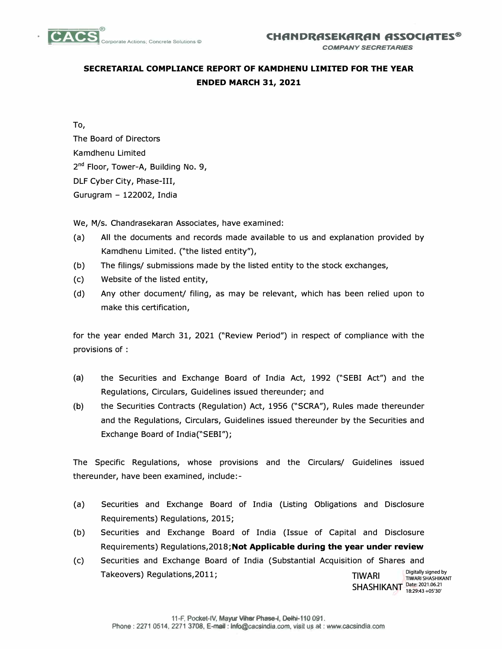

## **SECRETARIAL COMPLIANCE REPORT OF KAMDHENU LIMITED FOR THE YEAR ENDED MARCH 31, 2021**

To,

The Board of Directors Kamdhenu Limited 2<sup>nd</sup> Floor, Tower-A, Building No. 9, DLF Cyber City, Phase-III, Gurugram - 122002, India

We, M/s. Chandrasekaran Associates, have examined:

- (a) All the documents and records made available to us and explanation provided by Kamdhenu Limited. ("the listed entity"),
- (b) The filings/ submissions made by the listed entity to the stock exchanges,
- (c) Website of the listed entity,
- (d) Any other document/ filing, as may be relevant, which has been relied upon to make this certification,

for the year ended March 31, 2021 ("Review Period") in respect of compliance with the provisions of :

- (a) the Securities and Exchange Board of India Act, 1992 ("SEBI Act") and the Regulations, Circulars, Guidelines issued thereunder; and
- (b) the Securities Contracts (Regulation) Act, 1956 ("SCRA"), Rules made thereunder and the Regulations, Circulars, Guidelines issued thereunder by the Securities and Exchange Board of India("SEBI");

The Specific Regulations, whose provisions and the Circulars/ Guidelines issued thereunder, have been examined, include:-

- (a) Securities and Exchange Board of India (Listing Obligations and Disclosure Requirements) Regulations, 2015;
- (b) Securities and Exchange Board of India (Issue of Capital and Disclosure Requirements) Regulations,2018;Not **Applicable during the year under review**
- (c) Securities and Exchange Board of India (Substantial Acquisition of Shares and Takeovers) Regulations, 2011; And The Times and Times and Times and Times and Times and Times and Times and Times and Times and Times and Times and Times and Times and Times and Times and Times and Times and Times and Time Digitally signed by<br>TIWARI SHASHIKANT

**SHASHIKANT** Date: 2021.06.21 18:29:43 +05'30'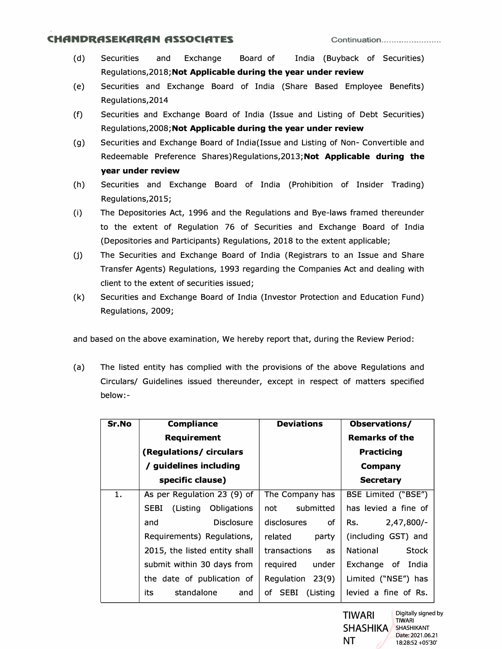#### **CHflNDRflSEKflRflN ASSOCIATES Continuation ....................... .**

- (d) Securities and Exchange Board of India (Buyback of Securities) Regulations,2018;Not **Applicable during the year under review**
- (e) Securities and Exchange Board of India (Share Based Employee Benefits) Regulations,2014
- (f) Securities and Exchange Board of India {Issue and Listing of Debt Securities) Regulations,2008;Not **Applicable during the year under review**
- (g) Securities and Exchange Board of India{lssue and Listing of Non- Convertible and Redeemable Preference Shares)Regulations,2013;Not **Applicable during the year under review**
- (h) Securities and Exchange Board of India (Prohibition of Insider Trading) Regulations,2015;
- (i) The Depositories Act, 1996 and the Regulations and Bye-laws framed thereunder to the extent of Regulation 76 of Securities and Exchange Board of India (Depositories and Participants) Regulations, 2018 to the extent applicable;
- (j) The Securities and Exchange Board of India (Registrars to an Issue and Share Transfer Agents) Regulations, 1993 regarding the Companies Act and dealing with client to the extent of securities issued;
- (k) Securities and Exchange Board of India {Investor Protection and Education Fund) Regulations, 2009;

and based on the above examination, We hereby report that, during the Review Period:

(a) The listed entity has complied with the provisions of the above Regulations and Circulars/ Guidelines issued thereunder, except in respect of matters specified below:-

| Sr.No | <b>Compliance</b>                             | <b>Deviations</b>    | Observations/            |
|-------|-----------------------------------------------|----------------------|--------------------------|
|       | <b>Requirement</b>                            |                      | <b>Remarks of the</b>    |
|       | (Regulations/circulars                        |                      | <b>Practicing</b>        |
|       | / guidelines including                        |                      | Company                  |
|       | specific clause)                              |                      | <b>Secretary</b>         |
| 1.    | As per Regulation 23 (9) of                   | The Company has      | BSE Limited ("BSE")      |
|       | (Listing<br><b>SEBI</b><br><b>Obligations</b> | submitted<br>not     | has levied a fine of     |
|       | <b>Disclosure</b><br>and                      | disclosures<br>0f    | $2,47,800/-$<br>Rs.      |
|       | Requirements) Regulations,                    | related<br>party     | (including GST) and      |
|       | 2015, the listed entity shall                 | transactions<br>as   | <b>Stock</b><br>National |
|       | submit within 30 days from                    | reguired<br>under    | Exchange of India        |
|       | the date of publication of                    | Regulation<br>23(9)  | Limited ("NSE") has      |
|       | standalone<br>its<br>and                      | (Listing)<br>of SEBI | levied a fine of Rs.     |

TIWARI SHASHIKA SHASHIKANT NT Digitally signed by **TIWARI** Date: 2021.06.21 18:28:52 +05'30'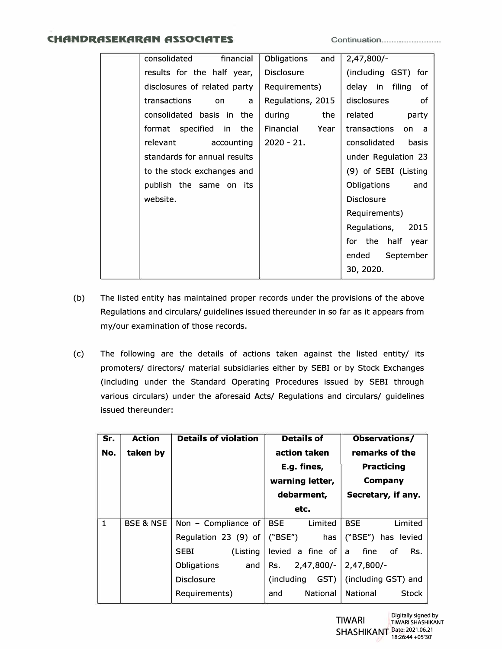### **CHflNDRflSEKflRflN ASSOCIATES Continuation ....................... .**

| consolidated<br>financial    | Obligations<br>and | $2,47,800/-$          |
|------------------------------|--------------------|-----------------------|
| results for the half year,   | Disclosure         | (including GST) for   |
| disclosures of related party | Requirements)      | delay in filing of    |
| transactions<br>on<br>a      | Regulations, 2015  | disclosures of        |
| consolidated basis in the    | the<br>during      | related party         |
| format specified in the      | Financial<br>Year  | transactions<br>on a  |
| relevant<br>accounting       | $2020 - 21.$       | consolidated<br>basis |
| standards for annual results |                    | under Regulation 23   |
| to the stock exchanges and   |                    | (9) of SEBI (Listing  |
| publish the same on its      |                    | Obligations<br>and    |
| website.                     |                    | <b>Disclosure</b>     |
|                              |                    | Requirements)         |
|                              |                    | Regulations, 2015     |
|                              |                    | for the half year     |
|                              |                    | ended<br>September    |
|                              |                    | 30, 2020.             |
|                              |                    |                       |

- (b) The listed entity has maintained proper records under the provisions of the above Regulations and circulars/ guidelines issued thereunder in so far as it appears from my/our examination of those records.
- (c) The following are the details of actions taken against the listed entity/ its promoters/ directors/ material subsidiaries either by SEBI or by Stock Exchanges (including under the Standard Operating Procedures issued by SEBI through various circulars) under the aforesaid Acts/ Regulations and circulars/ guidelines issued thereunder:

| Sr.          | <b>Action</b>        | <b>Details of violation</b> | <b>Details of</b>           | Observations/            |
|--------------|----------------------|-----------------------------|-----------------------------|--------------------------|
| No.          | taken by             |                             | action taken                | remarks of the           |
|              |                      |                             | E.g. fines,                 | <b>Practicing</b>        |
|              |                      |                             | warning letter,             | Company                  |
|              |                      |                             | debarment,                  | Secretary, if any.       |
|              |                      |                             | etc.                        |                          |
| $\mathbf{1}$ | <b>BSE &amp; NSE</b> | Non - Compliance of         | <b>BSE</b><br>Limited       | <b>BSE</b><br>Limited    |
|              |                      | Regulation 23 (9) of        | ("BSE")<br>has              | ("BSE") has levied       |
|              |                      | (Listing<br>SEBI            | levied a fine of $ a $ fine | Rs.<br>of                |
|              |                      | <b>Obligations</b><br>and   | Rs.<br>2,47,800/-           | $2,47,800/-$             |
|              |                      | <b>Disclosure</b>           | GST)<br>(including          | (including GST) and      |
|              |                      | Requirements)               | <b>National</b><br>and      | National<br><b>Stock</b> |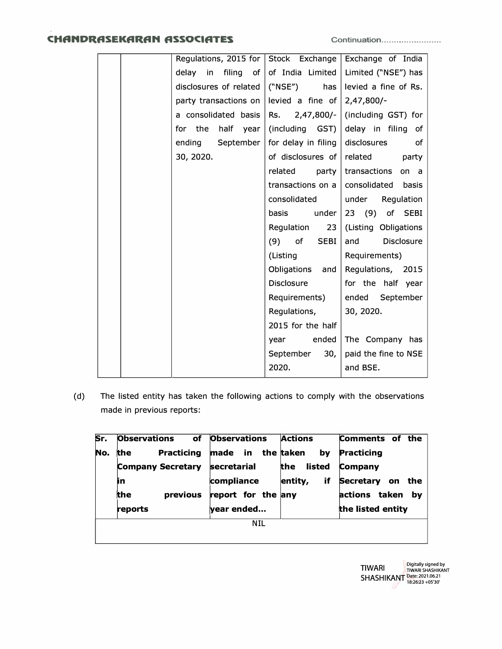## **CHANDRASEKARAN ASSOCIATES Continuation .......................**

| Regulations, 2015 for Stock Exchange Exchange of India |                         |                                          |
|--------------------------------------------------------|-------------------------|------------------------------------------|
| delay in filing of of India Limited                    |                         | Limited ("NSE") has                      |
| disclosures of related $ (``NSE")$ has                 |                         | levied a fine of Rs.                     |
| party transactions on levied a fine of                 |                         | $2,47,800/-$                             |
| a consolidated basis   Rs. $2,47,800/-$                |                         | (including GST) for                      |
| for the half year (including $GST)$                    |                         | delay in filing of                       |
| ending September   for delay in filing                 |                         | disclosures<br>of                        |
| 30, 2020.                                              | of disclosures of       | related<br>party                         |
|                                                        | related<br>party        | transactions<br>on a                     |
|                                                        |                         | transactions on a $ $ consolidated basis |
|                                                        | consolidated            | under Regulation                         |
|                                                        | basis<br>under          | 23 (9) of SEBI                           |
|                                                        | Regulation<br>23        | (Listing Obligations                     |
|                                                        | $(9)$ of<br><b>SEBI</b> | Disclosure<br>and                        |
|                                                        | (Listing                | Requirements)                            |
|                                                        | Obligations and         | Regulations, 2015                        |
|                                                        | <b>Disclosure</b>       | for the half year                        |
|                                                        | Requirements)           | ended September                          |
|                                                        | Regulations,            | 30, 2020.                                |
|                                                        | 2015 for the half       |                                          |
|                                                        | year ended              | The Company has                          |
|                                                        | 30,<br>September        | paid the fine to NSE                     |
|                                                        | 2020.                   | and BSE.                                 |

(d) The listed entity has taken the following actions to comply with the observations made in previous reports:

| Sr.        | <b>Observations</b>             | of Observations    | <b>Actions</b>  | Comments of the               |
|------------|---------------------------------|--------------------|-----------------|-------------------------------|
| No.        | <b>Practicing</b><br><b>the</b> | made in the taken  | by              | Practicing                    |
|            | <b>Company Secretary</b>        | <b>secretarial</b> | listed<br>the . | Company                       |
|            | in                              | compliance         | if<br>entity,   | <b>Secretary</b><br>the<br>on |
|            | the<br>previous                 | report for the any |                 | actions taken<br>bv           |
|            | reports                         | year ended         |                 | the listed entity             |
| <b>NIL</b> |                                 |                    |                 |                               |
|            |                                 |                    |                 |                               |